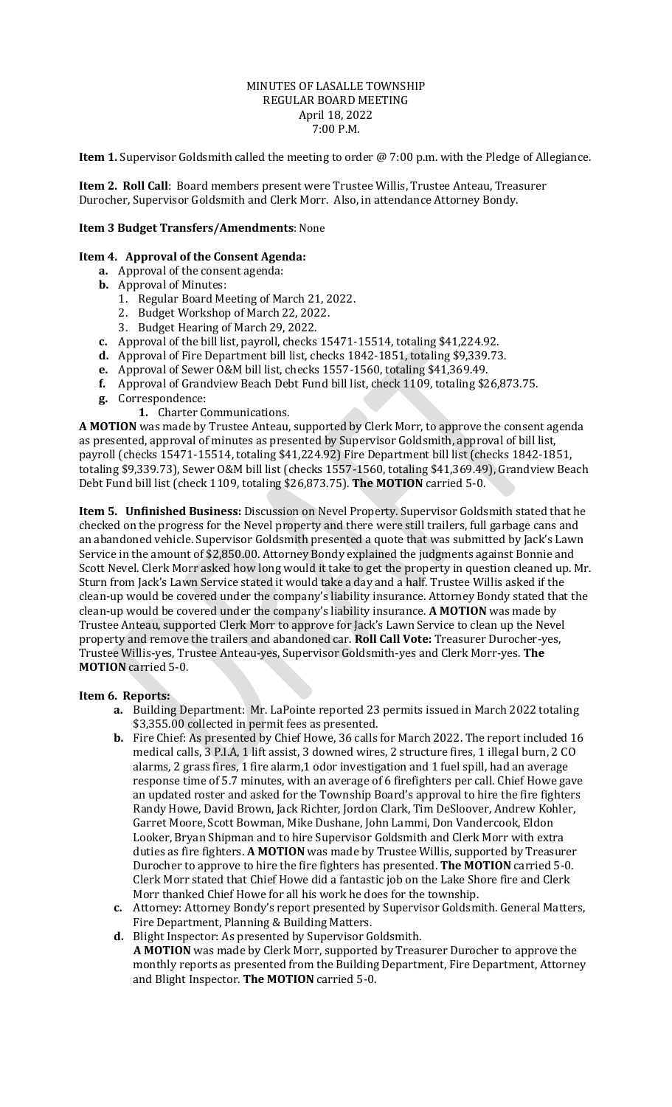## MINUTES OF LASALLE TOWNSHIP REGULAR BOARD MEETING April 18, 2022 7:00 P.M.

**Item 1.** Supervisor Goldsmith called the meeting to order @ 7:00 p.m. with the Pledge of Allegiance.

**Item 2. Roll Call**: Board members present were Trustee Willis, Trustee Anteau, Treasurer Durocher, Supervisor Goldsmith and Clerk Morr. Also, in attendance Attorney Bondy.

## **Item 3 Budget Transfers/Amendments**: None

## **Item 4. Approval of the Consent Agenda:**

- **a.** Approval of the consent agenda:
- **b.** Approval of Minutes:
	- 1. Regular Board Meeting of March 21, 2022.
	- 2. Budget Workshop of March 22, 2022.
	- 3. Budget Hearing of March 29, 2022.
- **c.** Approval of the bill list, payroll, checks 15471-15514, totaling \$41,224.92.
- **d.** Approval of Fire Department bill list, checks 1842-1851, totaling \$9,339.73.
- **e.** Approval of Sewer O&M bill list, checks 1557-1560, totaling \$41,369.49.
- **f.** Approval of Grandview Beach Debt Fund bill list, check 1109, totaling \$26,873.75.
- **g.** Correspondence:
	- **1.** Charter Communications.

**A MOTION** was made by Trustee Anteau, supported by Clerk Morr, to approve the consent agenda as presented, approval of minutes as presented by Supervisor Goldsmith, approval of bill list, payroll (checks 15471-15514, totaling \$41,224.92) Fire Department bill list (checks 1842-1851, totaling \$9,339.73), Sewer O&M bill list (checks 1557-1560, totaling \$41,369.49), Grandview Beach Debt Fund bill list (check 1109, totaling \$26,873.75). **The MOTION** carried 5-0.

**Item 5. Unfinished Business:** Discussion on Nevel Property. Supervisor Goldsmith stated that he checked on the progress for the Nevel property and there were still trailers, full garbage cans and an abandoned vehicle. Supervisor Goldsmith presented a quote that was submitted by Jack's Lawn Service in the amount of \$2,850.00. Attorney Bondy explained the judgments against Bonnie and Scott Nevel. Clerk Morr asked how long would it take to get the property in question cleaned up. Mr. Sturn from Jack's Lawn Service stated it would take a day and a half. Trustee Willis asked if the clean-up would be covered under the company's liability insurance. Attorney Bondy stated that the clean-up would be covered under the company's liability insurance. **A MOTION** was made by Trustee Anteau, supported Clerk Morr to approve for Jack's Lawn Service to clean up the Nevel property and remove the trailers and abandoned car. **Roll Call Vote:** Treasurer Durocher-yes, Trustee Willis-yes, Trustee Anteau-yes, Supervisor Goldsmith-yes and Clerk Morr-yes. **The MOTION** carried 5-0.

#### **Item 6. Reports:**

- **a.** Building Department: Mr. LaPointe reported 23 permits issued in March 2022 totaling \$3,355.00 collected in permit fees as presented.
- **b.** Fire Chief: As presented by Chief Howe, 36 calls for March 2022. The report included 16 medical calls, 3 P.I.A, 1 lift assist, 3 downed wires, 2 structure fires, 1 illegal burn, 2 CO alarms, 2 grass fires, 1 fire alarm,1 odor investigation and 1 fuel spill, had an average response time of 5.7 minutes, with an average of 6 firefighters per call. Chief Howe gave an updated roster and asked for the Township Board's approval to hire the fire fighters Randy Howe, David Brown, Jack Richter, Jordon Clark, Tim DeSloover, Andrew Kohler, Garret Moore, Scott Bowman, Mike Dushane, John Lammi, Don Vandercook, Eldon Looker, Bryan Shipman and to hire Supervisor Goldsmith and Clerk Morr with extra duties as fire fighters. **A MOTION** was made by Trustee Willis, supported by Treasurer Durocher to approve to hire the fire fighters has presented. **The MOTION** carried 5-0. Clerk Morr stated that Chief Howe did a fantastic job on the Lake Shore fire and Clerk Morr thanked Chief Howe for all his work he does for the township.
- **c.** Attorney: Attorney Bondy's report presented by Supervisor Goldsmith. General Matters, Fire Department, Planning & Building Matters.
- **d.** Blight Inspector: As presented by Supervisor Goldsmith. **A MOTION** was made by Clerk Morr, supported by Treasurer Durocher to approve the monthly reports as presented from the Building Department, Fire Department, Attorney and Blight Inspector. **The MOTION** carried 5-0.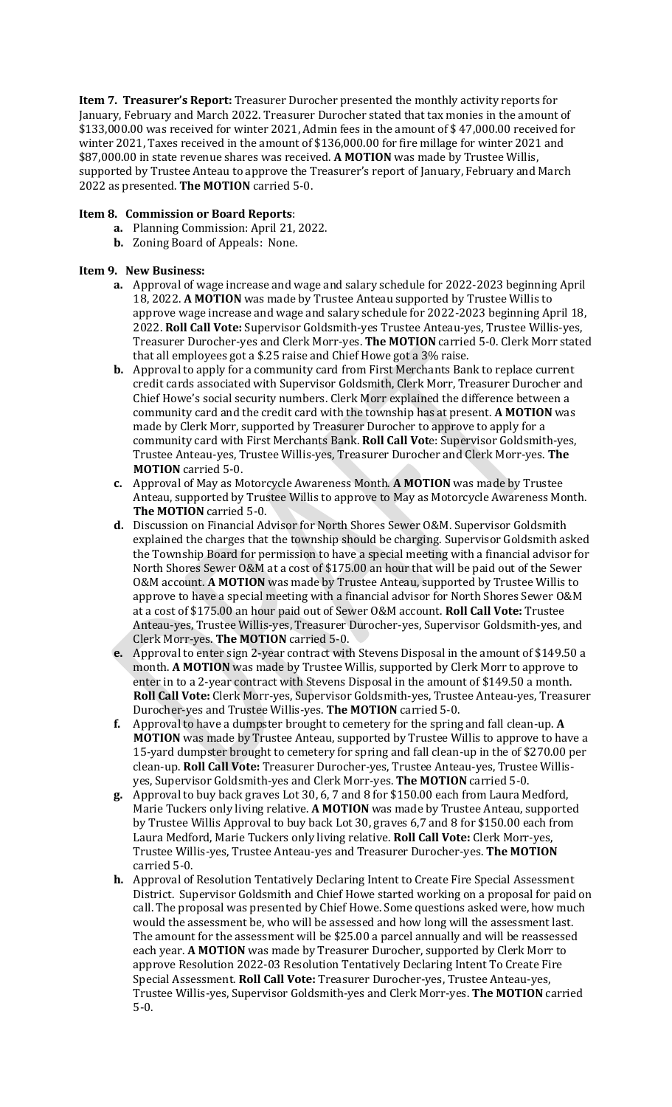**Item 7. Treasurer's Report:** Treasurer Durocher presented the monthly activity reports for January, February and March 2022. Treasurer Durocher stated that tax monies in the amount of \$133,000.00 was received for winter 2021, Admin fees in the amount of \$ 47,000.00 received for winter 2021, Taxes received in the amount of \$136,000.00 for fire millage for winter 2021 and \$87,000.00 in state revenue shares was received. **A MOTION** was made by Trustee Willis, supported by Trustee Anteau to approve the Treasurer's report of January, February and March 2022 as presented. **The MOTION** carried 5-0.

# **Item 8. Commission or Board Reports**:

- **a.** Planning Commission: April 21, 2022.
- **b.** Zoning Board of Appeals: None.

## **Item 9. New Business:**

- **a.** Approval of wage increase and wage and salary schedule for 2022-2023 beginning April 18, 2022. **A MOTION** was made by Trustee Anteau supported by Trustee Willis to approve wage increase and wage and salary schedule for 2022-2023 beginning April 18, 2022. **Roll Call Vote:** Supervisor Goldsmith-yes Trustee Anteau-yes, Trustee Willis-yes, Treasurer Durocher-yes and Clerk Morr-yes. **The MOTION** carried 5-0. Clerk Morr stated that all employees got a \$.25 raise and Chief Howe got a 3% raise.
- **b.** Approval to apply for a community card from First Merchants Bank to replace current credit cards associated with Supervisor Goldsmith, Clerk Morr, Treasurer Durocher and Chief Howe's social security numbers. Clerk Morr explained the difference between a community card and the credit card with the township has at present. **A MOTION** was made by Clerk Morr, supported by Treasurer Durocher to approve to apply for a community card with First Merchants Bank. **Roll Call Vot**e: Supervisor Goldsmith-yes, Trustee Anteau-yes, Trustee Willis-yes, Treasurer Durocher and Clerk Morr-yes. **The MOTION** carried 5-0.
- **c.** Approval of May as Motorcycle Awareness Month. **A MOTION** was made by Trustee Anteau, supported by Trustee Willis to approve to May as Motorcycle Awareness Month. **The MOTION** carried 5-0.
- **d.** Discussion on Financial Advisor for North Shores Sewer O&M. Supervisor Goldsmith explained the charges that the township should be charging. Supervisor Goldsmith asked the Township Board for permission to have a special meeting with a financial advisor for North Shores Sewer O&M at a cost of \$175.00 an hour that will be paid out of the Sewer O&M account. **A MOTION** was made by Trustee Anteau, supported by Trustee Willis to approve to have a special meeting with a financial advisor for North Shores Sewer O&M at a cost of \$175.00 an hour paid out of Sewer O&M account. **Roll Call Vote:** Trustee Anteau-yes, Trustee Willis-yes, Treasurer Durocher-yes, Supervisor Goldsmith-yes, and Clerk Morr-yes. **The MOTION** carried 5-0.
- **e.** Approval to enter sign 2-year contract with Stevens Disposal in the amount of \$149.50 a month. **A MOTION** was made by Trustee Willis, supported by Clerk Morr to approve to enter in to a 2-year contract with Stevens Disposal in the amount of \$149.50 a month. **Roll Call Vote:** Clerk Morr-yes, Supervisor Goldsmith-yes, Trustee Anteau-yes, Treasurer Durocher-yes and Trustee Willis-yes. **The MOTION** carried 5-0.
- **f.** Approval to have a dumpster brought to cemetery for the spring and fall clean-up. **A MOTION** was made by Trustee Anteau, supported by Trustee Willis to approve to have a 15-yard dumpster brought to cemetery for spring and fall clean-up in the of \$270.00 per clean-up. **Roll Call Vote:** Treasurer Durocher-yes, Trustee Anteau-yes, Trustee Willisyes, Supervisor Goldsmith-yes and Clerk Morr-yes. **The MOTION** carried 5-0.
- **g.** Approval to buy back graves Lot 30, 6, 7 and 8 for \$150.00 each from Laura Medford, Marie Tuckers only living relative. **A MOTION** was made by Trustee Anteau, supported by Trustee Willis Approval to buy back Lot 30, graves 6,7 and 8 for \$150.00 each from Laura Medford, Marie Tuckers only living relative. **Roll Call Vote:** Clerk Morr-yes, Trustee Willis-yes, Trustee Anteau-yes and Treasurer Durocher-yes. **The MOTION** carried 5-0.
- **h.** Approval of Resolution Tentatively Declaring Intent to Create Fire Special Assessment District. Supervisor Goldsmith and Chief Howe started working on a proposal for paid on call. The proposal was presented by Chief Howe. Some questions asked were, how much would the assessment be, who will be assessed and how long will the assessment last. The amount for the assessment will be \$25.00 a parcel annually and will be reassessed each year. **A MOTION** was made by Treasurer Durocher, supported by Clerk Morr to approve Resolution 2022-03 Resolution Tentatively Declaring Intent To Create Fire Special Assessment. **Roll Call Vote:** Treasurer Durocher-yes, Trustee Anteau-yes, Trustee Willis-yes, Supervisor Goldsmith-yes and Clerk Morr-yes. **The MOTION** carried 5-0.